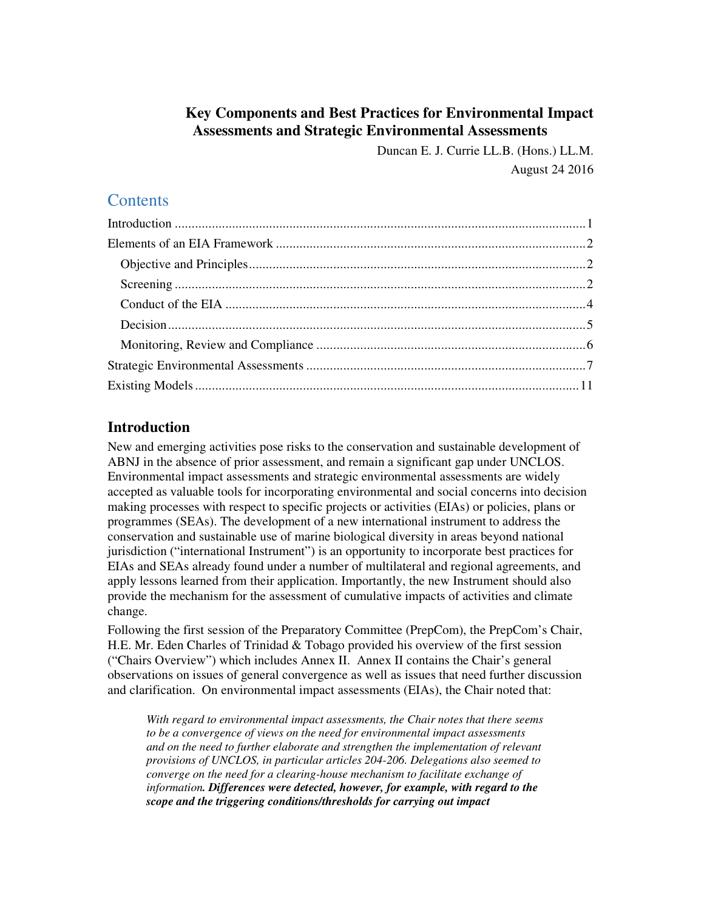# **Key Components and Best Practices for Environmental Impact Assessments and Strategic Environmental Assessments**

Duncan E. J. Currie LL.B. (Hons.) LL.M. August 24 2016

# **Contents**

# **Introduction**

New and emerging activities pose risks to the conservation and sustainable development of ABNJ in the absence of prior assessment, and remain a significant gap under UNCLOS. Environmental impact assessments and strategic environmental assessments are widely accepted as valuable tools for incorporating environmental and social concerns into decision making processes with respect to specific projects or activities (EIAs) or policies, plans or programmes (SEAs). The development of a new international instrument to address the conservation and sustainable use of marine biological diversity in areas beyond national jurisdiction ("international Instrument") is an opportunity to incorporate best practices for EIAs and SEAs already found under a number of multilateral and regional agreements, and apply lessons learned from their application. Importantly, the new Instrument should also provide the mechanism for the assessment of cumulative impacts of activities and climate change.

Following the first session of the Preparatory Committee (PrepCom), the PrepCom's Chair, H.E. Mr. Eden Charles of Trinidad & Tobago provided his overview of the first session ("Chairs Overview") which includes Annex II. Annex II contains the Chair's general observations on issues of general convergence as well as issues that need further discussion and clarification. On environmental impact assessments (EIAs), the Chair noted that:

*With regard to environmental impact assessments, the Chair notes that there seems to be a convergence of views on the need for environmental impact assessments and on the need to further elaborate and strengthen the implementation of relevant provisions of UNCLOS, in particular articles 204-206. Delegations also seemed to converge on the need for a clearing-house mechanism to facilitate exchange of information. Differences were detected, however, for example, with regard to the scope and the triggering conditions/thresholds for carrying out impact*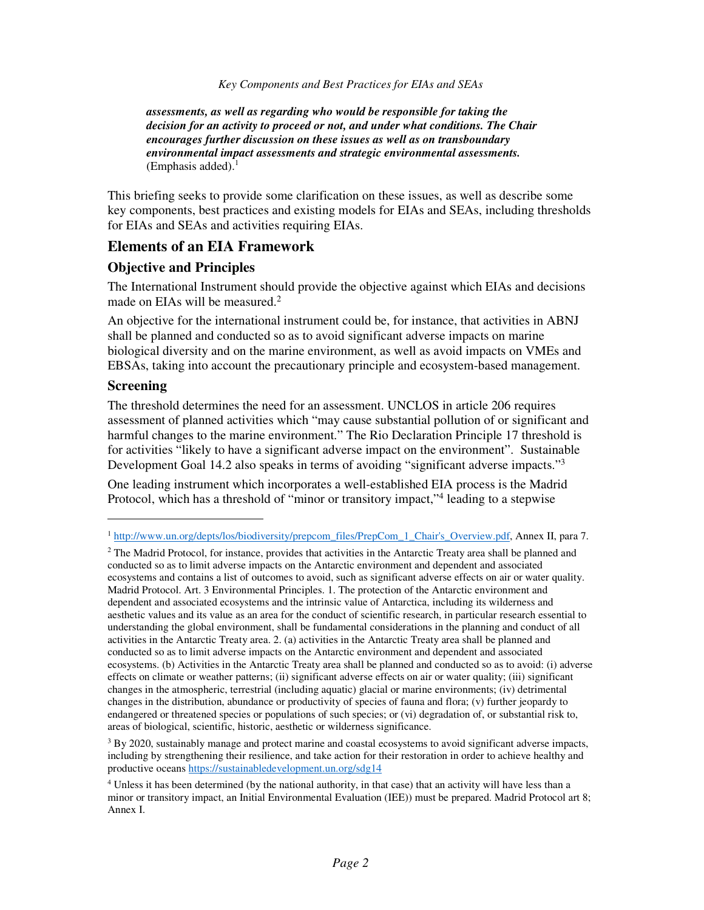*assessments, as well as regarding who would be responsible for taking the decision for an activity to proceed or not, and under what conditions. The Chair encourages further discussion on these issues as well as on transboundary environmental impact assessments and strategic environmental assessments.* (Emphasis added). $<sup>1</sup>$ </sup>

This briefing seeks to provide some clarification on these issues, as well as describe some key components, best practices and existing models for EIAs and SEAs, including thresholds for EIAs and SEAs and activities requiring EIAs.

# **Elements of an EIA Framework**

# **Objective and Principles**

The International Instrument should provide the objective against which EIAs and decisions made on EIAs will be measured.<sup>2</sup>

An objective for the international instrument could be, for instance, that activities in ABNJ shall be planned and conducted so as to avoid significant adverse impacts on marine biological diversity and on the marine environment, as well as avoid impacts on VMEs and EBSAs, taking into account the precautionary principle and ecosystem-based management.

# **Screening**

-

The threshold determines the need for an assessment. UNCLOS in article 206 requires assessment of planned activities which "may cause substantial pollution of or significant and harmful changes to the marine environment." The Rio Declaration Principle 17 threshold is for activities "likely to have a significant adverse impact on the environment". Sustainable Development Goal 14.2 also speaks in terms of avoiding "significant adverse impacts."<sup>3</sup>

One leading instrument which incorporates a well-established EIA process is the Madrid Protocol, which has a threshold of "minor or transitory impact,"<sup>4</sup> leading to a stepwise

<sup>1</sup> http://www.un.org/depts/los/biodiversity/prepcom\_files/PrepCom\_1\_Chair's\_Overview.pdf, Annex II, para 7.

<sup>&</sup>lt;sup>2</sup> The Madrid Protocol, for instance, provides that activities in the Antarctic Treaty area shall be planned and conducted so as to limit adverse impacts on the Antarctic environment and dependent and associated ecosystems and contains a list of outcomes to avoid, such as significant adverse effects on air or water quality. Madrid Protocol. Art. 3 Environmental Principles. 1. The protection of the Antarctic environment and dependent and associated ecosystems and the intrinsic value of Antarctica, including its wilderness and aesthetic values and its value as an area for the conduct of scientific research, in particular research essential to understanding the global environment, shall be fundamental considerations in the planning and conduct of all activities in the Antarctic Treaty area. 2. (a) activities in the Antarctic Treaty area shall be planned and conducted so as to limit adverse impacts on the Antarctic environment and dependent and associated ecosystems. (b) Activities in the Antarctic Treaty area shall be planned and conducted so as to avoid: (i) adverse effects on climate or weather patterns; (ii) significant adverse effects on air or water quality; (iii) significant changes in the atmospheric, terrestrial (including aquatic) glacial or marine environments; (iv) detrimental changes in the distribution, abundance or productivity of species of fauna and flora; (v) further jeopardy to endangered or threatened species or populations of such species; or (vi) degradation of, or substantial risk to, areas of biological, scientific, historic, aesthetic or wilderness significance.

<sup>&</sup>lt;sup>3</sup> By 2020, sustainably manage and protect marine and coastal ecosystems to avoid significant adverse impacts, including by strengthening their resilience, and take action for their restoration in order to achieve healthy and productive oceans https://sustainabledevelopment.un.org/sdg14

<sup>4</sup> Unless it has been determined (by the national authority, in that case) that an activity will have less than a minor or transitory impact, an Initial Environmental Evaluation (IEE)) must be prepared. Madrid Protocol art 8; Annex I.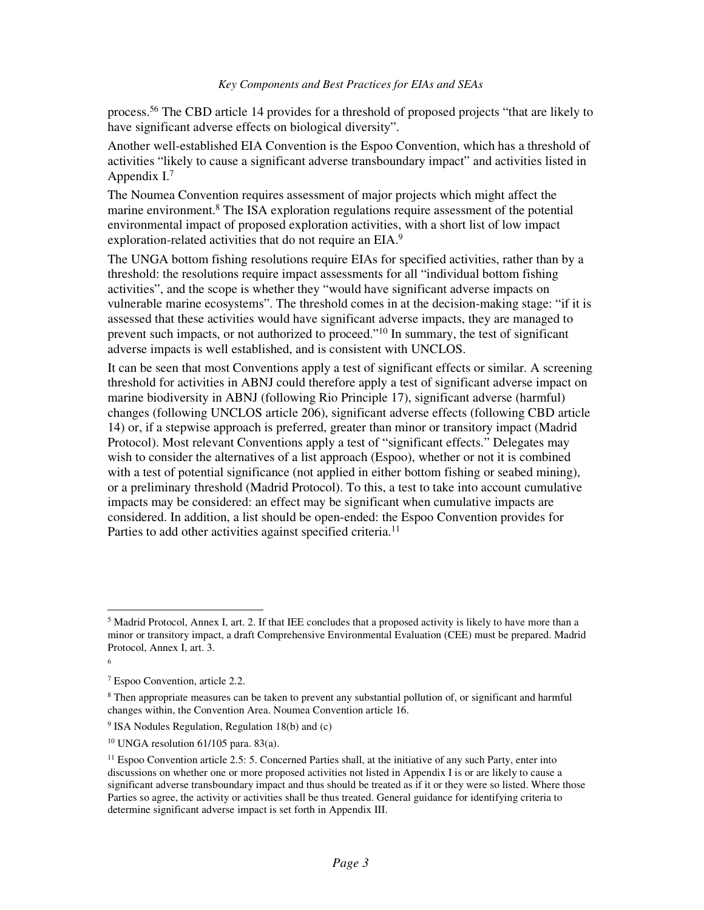process.<sup>56</sup> The CBD article 14 provides for a threshold of proposed projects "that are likely to have significant adverse effects on biological diversity".

Another well-established EIA Convention is the Espoo Convention, which has a threshold of activities "likely to cause a significant adverse transboundary impact" and activities listed in Appendix I.<sup>7</sup>

The Noumea Convention requires assessment of major projects which might affect the marine environment.<sup>8</sup> The ISA exploration regulations require assessment of the potential environmental impact of proposed exploration activities, with a short list of low impact exploration-related activities that do not require an EIA.<sup>9</sup>

The UNGA bottom fishing resolutions require EIAs for specified activities, rather than by a threshold: the resolutions require impact assessments for all "individual bottom fishing activities", and the scope is whether they "would have significant adverse impacts on vulnerable marine ecosystems". The threshold comes in at the decision-making stage: "if it is assessed that these activities would have significant adverse impacts, they are managed to prevent such impacts, or not authorized to proceed."<sup>10</sup> In summary, the test of significant adverse impacts is well established, and is consistent with UNCLOS.

It can be seen that most Conventions apply a test of significant effects or similar. A screening threshold for activities in ABNJ could therefore apply a test of significant adverse impact on marine biodiversity in ABNJ (following Rio Principle 17), significant adverse (harmful) changes (following UNCLOS article 206), significant adverse effects (following CBD article 14) or, if a stepwise approach is preferred, greater than minor or transitory impact (Madrid Protocol). Most relevant Conventions apply a test of "significant effects." Delegates may wish to consider the alternatives of a list approach (Espoo), whether or not it is combined with a test of potential significance (not applied in either bottom fishing or seabed mining), or a preliminary threshold (Madrid Protocol). To this, a test to take into account cumulative impacts may be considered: an effect may be significant when cumulative impacts are considered. In addition, a list should be open-ended: the Espoo Convention provides for Parties to add other activities against specified criteria.<sup>11</sup>

 $<sup>5</sup>$  Madrid Protocol, Annex I, art. 2. If that IEE concludes that a proposed activity is likely to have more than a</sup> minor or transitory impact, a draft Comprehensive Environmental Evaluation (CEE) must be prepared. Madrid Protocol, Annex I, art. 3.

<sup>6</sup>

<sup>7</sup> Espoo Convention, article 2.2.

<sup>&</sup>lt;sup>8</sup> Then appropriate measures can be taken to prevent any substantial pollution of, or significant and harmful changes within, the Convention Area. Noumea Convention article 16.

<sup>9</sup> ISA Nodules Regulation, Regulation 18(b) and (c)

 $10$  UNGA resolution 61/105 para. 83(a).

<sup>11</sup> Espoo Convention article 2.5: 5. Concerned Parties shall, at the initiative of any such Party, enter into discussions on whether one or more proposed activities not listed in Appendix I is or are likely to cause a significant adverse transboundary impact and thus should be treated as if it or they were so listed. Where those Parties so agree, the activity or activities shall be thus treated. General guidance for identifying criteria to determine significant adverse impact is set forth in Appendix III.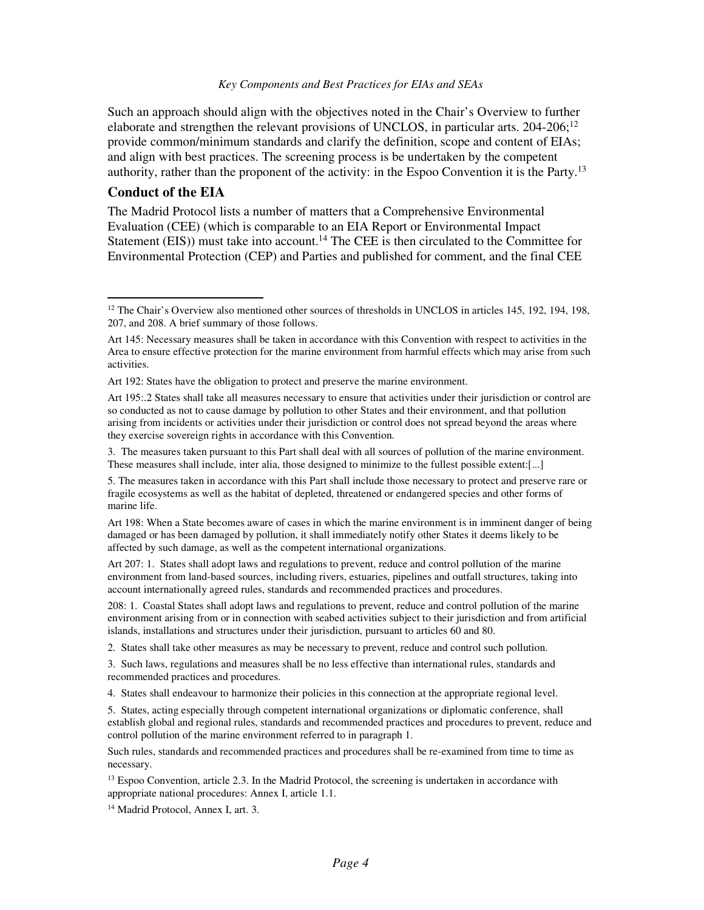Such an approach should align with the objectives noted in the Chair's Overview to further elaborate and strengthen the relevant provisions of UNCLOS, in particular arts. 204-206;<sup>12</sup> provide common/minimum standards and clarify the definition, scope and content of EIAs; and align with best practices. The screening process is be undertaken by the competent authority, rather than the proponent of the activity: in the Espoo Convention it is the Party.<sup>13</sup>

### **Conduct of the EIA**

-

The Madrid Protocol lists a number of matters that a Comprehensive Environmental Evaluation (CEE) (which is comparable to an EIA Report or Environmental Impact Statement (EIS)) must take into account.<sup>14</sup> The CEE is then circulated to the Committee for Environmental Protection (CEP) and Parties and published for comment, and the final CEE

Art 198: When a State becomes aware of cases in which the marine environment is in imminent danger of being damaged or has been damaged by pollution, it shall immediately notify other States it deems likely to be affected by such damage, as well as the competent international organizations.

Art 207: 1. States shall adopt laws and regulations to prevent, reduce and control pollution of the marine environment from land-based sources, including rivers, estuaries, pipelines and outfall structures, taking into account internationally agreed rules, standards and recommended practices and procedures.

208: 1. Coastal States shall adopt laws and regulations to prevent, reduce and control pollution of the marine environment arising from or in connection with seabed activities subject to their jurisdiction and from artificial islands, installations and structures under their jurisdiction, pursuant to articles 60 and 80.

2. States shall take other measures as may be necessary to prevent, reduce and control such pollution.

3. Such laws, regulations and measures shall be no less effective than international rules, standards and recommended practices and procedures.

4. States shall endeavour to harmonize their policies in this connection at the appropriate regional level.

5. States, acting especially through competent international organizations or diplomatic conference, shall establish global and regional rules, standards and recommended practices and procedures to prevent, reduce and control pollution of the marine environment referred to in paragraph 1.

Such rules, standards and recommended practices and procedures shall be re-examined from time to time as necessary.

<sup>13</sup> Espoo Convention, article 2.3. In the Madrid Protocol, the screening is undertaken in accordance with appropriate national procedures: Annex I, article 1.1.

<sup>14</sup> Madrid Protocol, Annex I, art. 3.

 $12$  The Chair's Overview also mentioned other sources of thresholds in UNCLOS in articles  $145$ ,  $192$ ,  $194$ ,  $198$ , 207, and 208. A brief summary of those follows.

Art 145: Necessary measures shall be taken in accordance with this Convention with respect to activities in the Area to ensure effective protection for the marine environment from harmful effects which may arise from such activities.

Art 192: States have the obligation to protect and preserve the marine environment.

Art 195:.2 States shall take all measures necessary to ensure that activities under their jurisdiction or control are so conducted as not to cause damage by pollution to other States and their environment, and that pollution arising from incidents or activities under their jurisdiction or control does not spread beyond the areas where they exercise sovereign rights in accordance with this Convention.

<sup>3.</sup> The measures taken pursuant to this Part shall deal with all sources of pollution of the marine environment. These measures shall include, inter alia, those designed to minimize to the fullest possible extent:[...]

<sup>5.</sup> The measures taken in accordance with this Part shall include those necessary to protect and preserve rare or fragile ecosystems as well as the habitat of depleted, threatened or endangered species and other forms of marine life.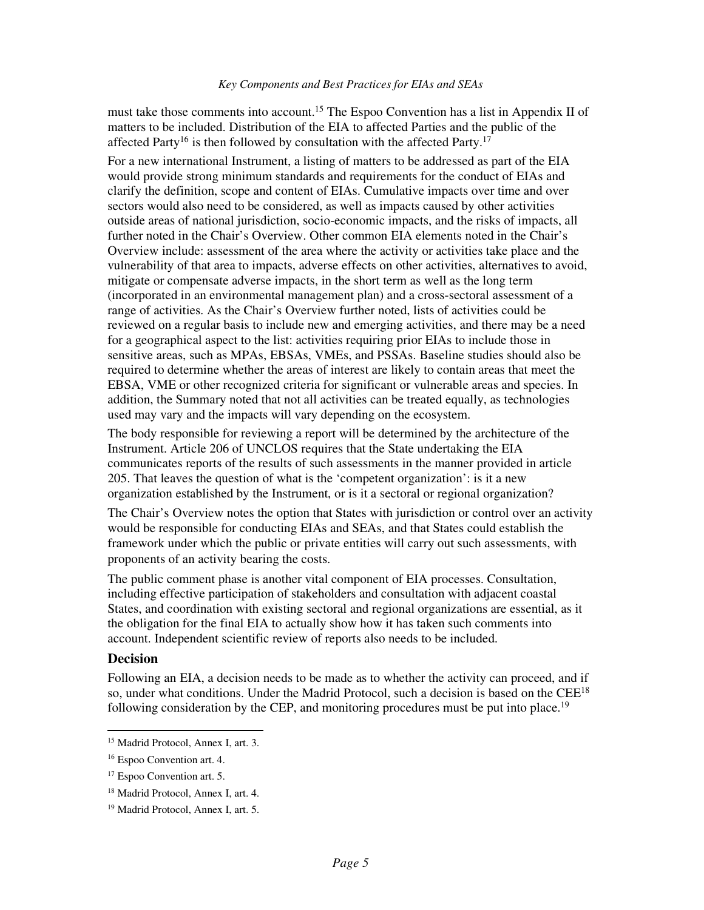must take those comments into account.<sup>15</sup> The Espoo Convention has a list in Appendix II of matters to be included. Distribution of the EIA to affected Parties and the public of the affected Party<sup>16</sup> is then followed by consultation with the affected Party.<sup>17</sup>

For a new international Instrument, a listing of matters to be addressed as part of the EIA would provide strong minimum standards and requirements for the conduct of EIAs and clarify the definition, scope and content of EIAs. Cumulative impacts over time and over sectors would also need to be considered, as well as impacts caused by other activities outside areas of national jurisdiction, socio-economic impacts, and the risks of impacts, all further noted in the Chair's Overview. Other common EIA elements noted in the Chair's Overview include: assessment of the area where the activity or activities take place and the vulnerability of that area to impacts, adverse effects on other activities, alternatives to avoid, mitigate or compensate adverse impacts, in the short term as well as the long term (incorporated in an environmental management plan) and a cross-sectoral assessment of a range of activities. As the Chair's Overview further noted, lists of activities could be reviewed on a regular basis to include new and emerging activities, and there may be a need for a geographical aspect to the list: activities requiring prior EIAs to include those in sensitive areas, such as MPAs, EBSAs, VMEs, and PSSAs. Baseline studies should also be required to determine whether the areas of interest are likely to contain areas that meet the EBSA, VME or other recognized criteria for significant or vulnerable areas and species. In addition, the Summary noted that not all activities can be treated equally, as technologies used may vary and the impacts will vary depending on the ecosystem.

The body responsible for reviewing a report will be determined by the architecture of the Instrument. Article 206 of UNCLOS requires that the State undertaking the EIA communicates reports of the results of such assessments in the manner provided in article 205. That leaves the question of what is the 'competent organization': is it a new organization established by the Instrument, or is it a sectoral or regional organization?

The Chair's Overview notes the option that States with jurisdiction or control over an activity would be responsible for conducting EIAs and SEAs, and that States could establish the framework under which the public or private entities will carry out such assessments, with proponents of an activity bearing the costs.

The public comment phase is another vital component of EIA processes. Consultation, including effective participation of stakeholders and consultation with adjacent coastal States, and coordination with existing sectoral and regional organizations are essential, as it the obligation for the final EIA to actually show how it has taken such comments into account. Independent scientific review of reports also needs to be included.

#### **Decision**

-

Following an EIA, a decision needs to be made as to whether the activity can proceed, and if so, under what conditions. Under the Madrid Protocol, such a decision is based on the CEE<sup>18</sup> following consideration by the CEP, and monitoring procedures must be put into place.<sup>19</sup>

<sup>15</sup> Madrid Protocol, Annex I, art. 3.

<sup>16</sup> Espoo Convention art. 4.

<sup>17</sup> Espoo Convention art. 5.

<sup>18</sup> Madrid Protocol, Annex I, art. 4.

<sup>19</sup> Madrid Protocol, Annex I, art. 5.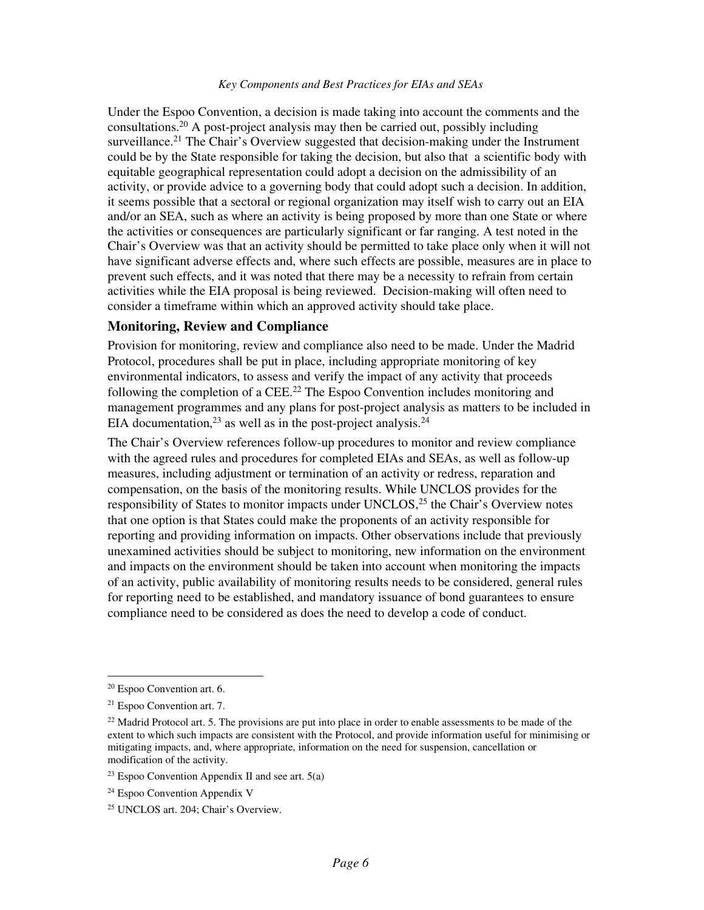Under the Espoo Convention, a decision is made taking into account the comments and the consultations.<sup>20</sup> A post-project analysis may then be carried out, possibly including surveillance.<sup>21</sup> The Chair's Overview suggested that decision-making under the Instrument could be by the State responsible for taking the decision, but also that a scientific body with equitable geographical representation could adopt a decision on the admissibility of an activity, or provide advice to a governing body that could adopt such a decision. In addition, it seems possible that a sectoral or regional organization may itself wish to carry out an EIA and/or an SEA, such as where an activity is being proposed by more than one State or where the activities or consequences are particularly significant or far ranging. A test noted in the Chair's Overview was that an activity should be permitted to take place only when it will not have significant adverse effects and, where such effects are possible, measures are in place to prevent such effects, and it was noted that there may be a necessity to refrain from certain activities while the EIA proposal is being reviewed. Decision-making will often need to consider a timeframe within which an approved activity should take place.

### **Monitoring, Review and Compliance**

Provision for monitoring, review and compliance also need to be made. Under the Madrid Protocol, procedures shall be put in place, including appropriate monitoring of key environmental indicators, to assess and verify the impact of any activity that proceeds following the completion of a  $\text{CEE}.^{22}$  The Espoo Convention includes monitoring and management programmes and any plans for post-project analysis as matters to be included in EIA documentation,  $23$  as well as in the post-project analysis.  $24$ 

The Chair's Overview references follow-up procedures to monitor and review compliance with the agreed rules and procedures for completed EIAs and SEAs, as well as follow-up measures, including adjustment or termination of an activity or redress, reparation and compensation, on the basis of the monitoring results. While UNCLOS provides for the responsibility of States to monitor impacts under UNCLOS, $2<sup>5</sup>$  the Chair's Overview notes that one option is that States could make the proponents of an activity responsible for reporting and providing information on impacts. Other observations include that previously unexamined activities should be subject to monitoring, new information on the environment and impacts on the environment should be taken into account when monitoring the impacts of an activity, public availability of monitoring results needs to be considered, general rules for reporting need to be established, and mandatory issuance of bond guarantees to ensure compliance need to be considered as does the need to develop a code of conduct.

<sup>20</sup> Espoo Convention art. 6.

<sup>21</sup> Espoo Convention art. 7.

 $^{22}$  Madrid Protocol art. 5. The provisions are put into place in order to enable assessments to be made of the extent to which such impacts are consistent with the Protocol, and provide information useful for minimising or mitigating impacts, and, where appropriate, information on the need for suspension, cancellation or modification of the activity.

<sup>&</sup>lt;sup>23</sup> Espoo Convention Appendix II and see art.  $5(a)$ 

<sup>24</sup> Espoo Convention Appendix V

<sup>25</sup> UNCLOS art. 204; Chair's Overview.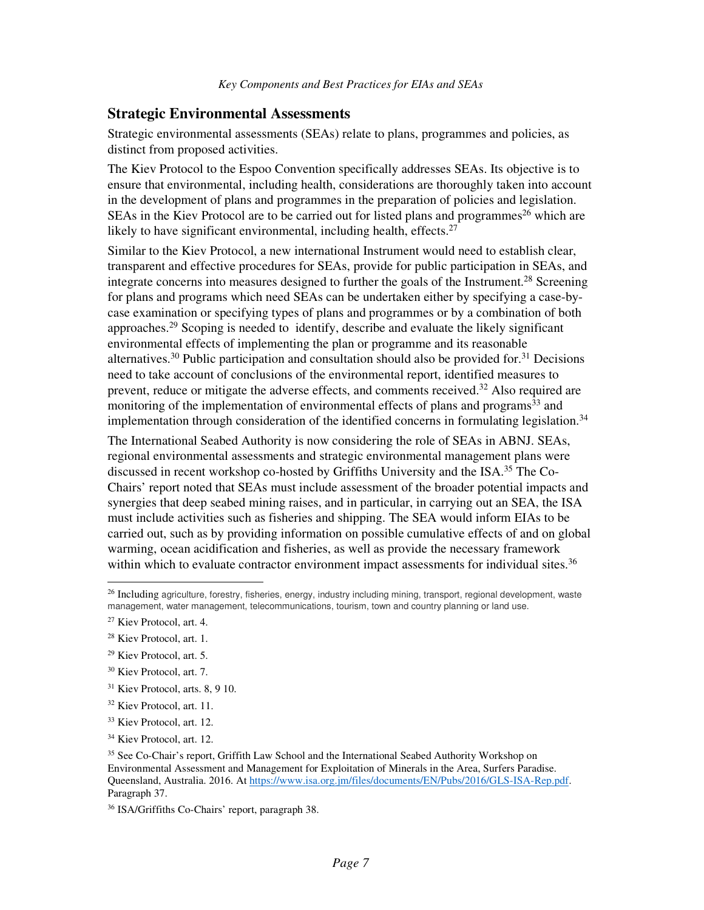# **Strategic Environmental Assessments**

Strategic environmental assessments (SEAs) relate to plans, programmes and policies, as distinct from proposed activities.

The Kiev Protocol to the Espoo Convention specifically addresses SEAs. Its objective is to ensure that environmental, including health, considerations are thoroughly taken into account in the development of plans and programmes in the preparation of policies and legislation. SEAs in the Kiev Protocol are to be carried out for listed plans and programmes<sup>26</sup> which are likely to have significant environmental, including health, effects. $27$ 

Similar to the Kiev Protocol, a new international Instrument would need to establish clear, transparent and effective procedures for SEAs, provide for public participation in SEAs, and integrate concerns into measures designed to further the goals of the Instrument.<sup>28</sup> Screening for plans and programs which need SEAs can be undertaken either by specifying a case-bycase examination or specifying types of plans and programmes or by a combination of both approaches.<sup>29</sup> Scoping is needed to identify, describe and evaluate the likely significant environmental effects of implementing the plan or programme and its reasonable alternatives.<sup>30</sup> Public participation and consultation should also be provided for.<sup>31</sup> Decisions need to take account of conclusions of the environmental report, identified measures to prevent, reduce or mitigate the adverse effects, and comments received.<sup>32</sup> Also required are monitoring of the implementation of environmental effects of plans and programs<sup>33</sup> and implementation through consideration of the identified concerns in formulating legislation.<sup>34</sup>

The International Seabed Authority is now considering the role of SEAs in ABNJ. SEAs, regional environmental assessments and strategic environmental management plans were discussed in recent workshop co-hosted by Griffiths University and the ISA.<sup>35</sup> The Co-Chairs' report noted that SEAs must include assessment of the broader potential impacts and synergies that deep seabed mining raises, and in particular, in carrying out an SEA, the ISA must include activities such as fisheries and shipping. The SEA would inform EIAs to be carried out, such as by providing information on possible cumulative effects of and on global warming, ocean acidification and fisheries, as well as provide the necessary framework within which to evaluate contractor environment impact assessments for individual sites.<sup>36</sup>

-

<sup>31</sup> Kiev Protocol, arts. 8, 9 10.

 $26$  Including agriculture, forestry, fisheries, energy, industry including mining, transport, regional development, waste management, water management, telecommunications, tourism, town and country planning or land use.

<sup>27</sup> Kiev Protocol, art. 4.

<sup>28</sup> Kiev Protocol, art. 1.

<sup>29</sup> Kiev Protocol, art. 5.

<sup>30</sup> Kiev Protocol, art. 7.

<sup>32</sup> Kiev Protocol, art. 11.

<sup>33</sup> Kiev Protocol, art. 12.

<sup>34</sup> Kiev Protocol, art. 12.

<sup>35</sup> See Co-Chair's report, Griffith Law School and the International Seabed Authority Workshop on Environmental Assessment and Management for Exploitation of Minerals in the Area, Surfers Paradise. Queensland, Australia. 2016. At https://www.isa.org.jm/files/documents/EN/Pubs/2016/GLS-ISA-Rep.pdf. Paragraph 37.

<sup>36</sup> ISA/Griffiths Co-Chairs' report, paragraph 38.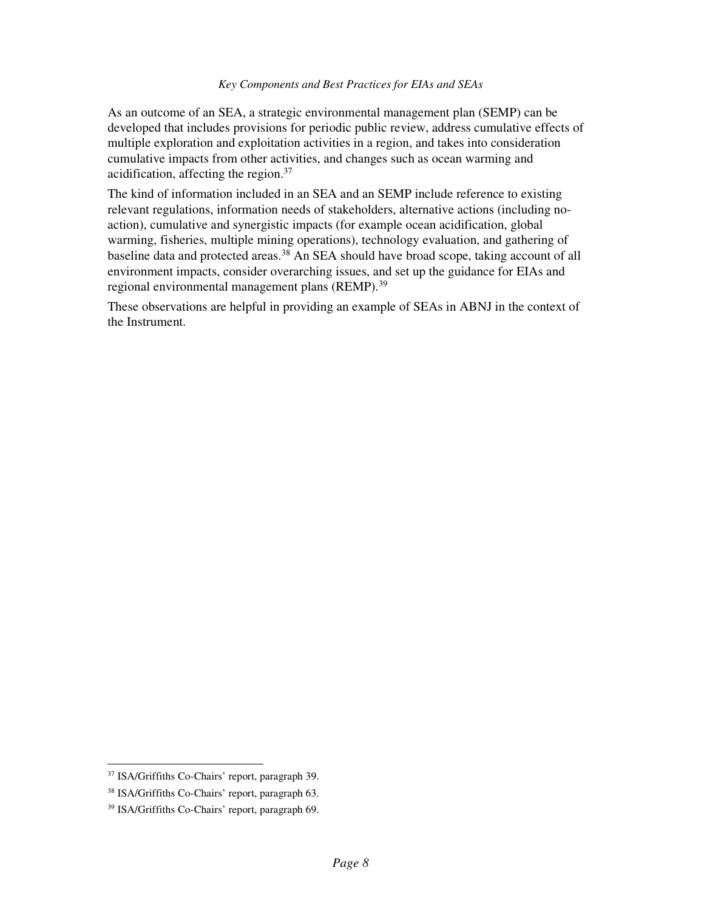As an outcome of an SEA, a strategic environmental management plan (SEMP) can be developed that includes provisions for periodic public review, address cumulative effects of multiple exploration and exploitation activities in a region, and takes into consideration cumulative impacts from other activities, and changes such as ocean warming and acidification, affecting the region.<sup>37</sup>

The kind of information included in an SEA and an SEMP include reference to existing relevant regulations, information needs of stakeholders, alternative actions (including noaction), cumulative and synergistic impacts (for example ocean acidification, global warming, fisheries, multiple mining operations), technology evaluation, and gathering of baseline data and protected areas.<sup>38</sup> An SEA should have broad scope, taking account of all environment impacts, consider overarching issues, and set up the guidance for EIAs and regional environmental management plans (REMP).<sup>39</sup>

These observations are helpful in providing an example of SEAs in ABNJ in the context of the Instrument.

<sup>37</sup> ISA/Griffiths Co-Chairs' report, paragraph 39.

<sup>38</sup> ISA/Griffiths Co-Chairs' report, paragraph 63.

<sup>39</sup> ISA/Griffiths Co-Chairs' report, paragraph 69.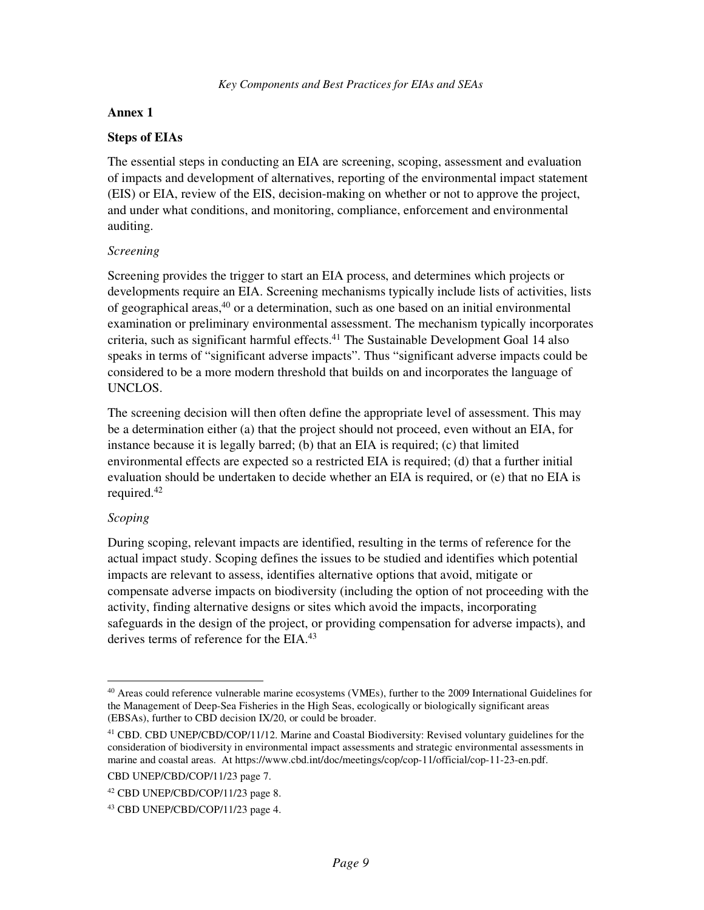### **Annex 1**

### **Steps of EIAs**

The essential steps in conducting an EIA are screening, scoping, assessment and evaluation of impacts and development of alternatives, reporting of the environmental impact statement (EIS) or EIA, review of the EIS, decision-making on whether or not to approve the project, and under what conditions, and monitoring, compliance, enforcement and environmental auditing.

### *Screening*

Screening provides the trigger to start an EIA process, and determines which projects or developments require an EIA. Screening mechanisms typically include lists of activities, lists of geographical areas, $40$  or a determination, such as one based on an initial environmental examination or preliminary environmental assessment. The mechanism typically incorporates criteria, such as significant harmful effects.<sup>41</sup> The Sustainable Development Goal 14 also speaks in terms of "significant adverse impacts". Thus "significant adverse impacts could be considered to be a more modern threshold that builds on and incorporates the language of UNCLOS.

The screening decision will then often define the appropriate level of assessment. This may be a determination either (a) that the project should not proceed, even without an EIA, for instance because it is legally barred; (b) that an EIA is required; (c) that limited environmental effects are expected so a restricted EIA is required; (d) that a further initial evaluation should be undertaken to decide whether an EIA is required, or (e) that no EIA is required.<sup>42</sup>

# *Scoping*

During scoping, relevant impacts are identified, resulting in the terms of reference for the actual impact study. Scoping defines the issues to be studied and identifies which potential impacts are relevant to assess, identifies alternative options that avoid, mitigate or compensate adverse impacts on biodiversity (including the option of not proceeding with the activity, finding alternative designs or sites which avoid the impacts, incorporating safeguards in the design of the project, or providing compensation for adverse impacts), and derives terms of reference for the EIA.<sup>43</sup>

CBD UNEP/CBD/COP/11/23 page 7.

<sup>-</sup><sup>40</sup> Areas could reference vulnerable marine ecosystems (VMEs), further to the 2009 International Guidelines for the Management of Deep-Sea Fisheries in the High Seas, ecologically or biologically significant areas (EBSAs), further to CBD decision IX/20, or could be broader.

<sup>41</sup> CBD. CBD UNEP/CBD/COP/11/12. Marine and Coastal Biodiversity: Revised voluntary guidelines for the consideration of biodiversity in environmental impact assessments and strategic environmental assessments in marine and coastal areas. At https://www.cbd.int/doc/meetings/cop/cop-11/official/cop-11-23-en.pdf.

<sup>42</sup> CBD UNEP/CBD/COP/11/23 page 8.

<sup>43</sup> CBD UNEP/CBD/COP/11/23 page 4.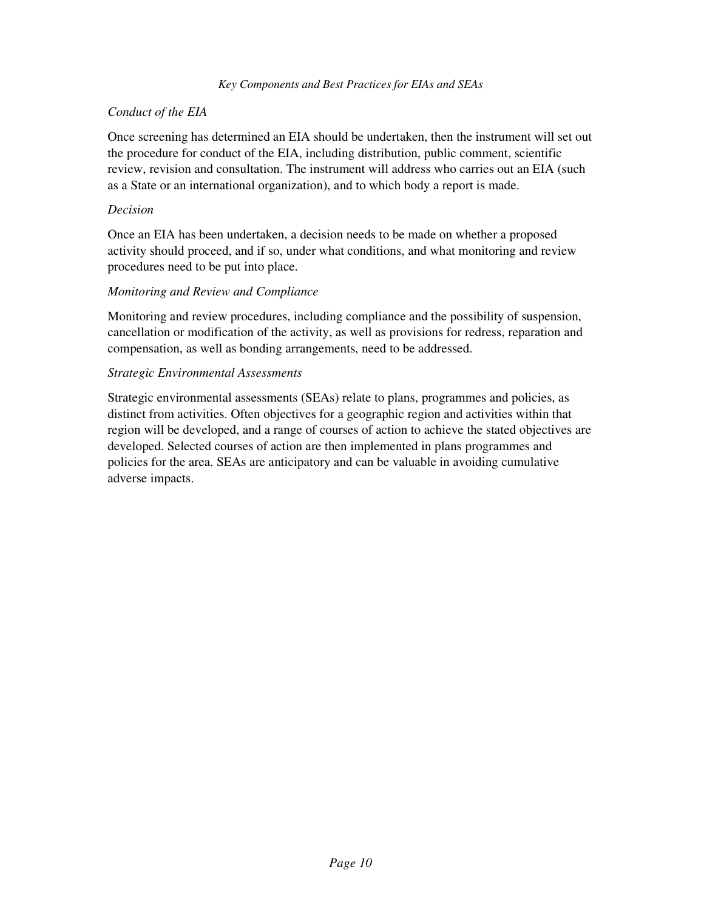# *Conduct of the EIA*

Once screening has determined an EIA should be undertaken, then the instrument will set out the procedure for conduct of the EIA, including distribution, public comment, scientific review, revision and consultation. The instrument will address who carries out an EIA (such as a State or an international organization), and to which body a report is made.

## *Decision*

Once an EIA has been undertaken, a decision needs to be made on whether a proposed activity should proceed, and if so, under what conditions, and what monitoring and review procedures need to be put into place.

# *Monitoring and Review and Compliance*

Monitoring and review procedures, including compliance and the possibility of suspension, cancellation or modification of the activity, as well as provisions for redress, reparation and compensation, as well as bonding arrangements, need to be addressed.

# *Strategic Environmental Assessments*

Strategic environmental assessments (SEAs) relate to plans, programmes and policies, as distinct from activities. Often objectives for a geographic region and activities within that region will be developed, and a range of courses of action to achieve the stated objectives are developed. Selected courses of action are then implemented in plans programmes and policies for the area. SEAs are anticipatory and can be valuable in avoiding cumulative adverse impacts.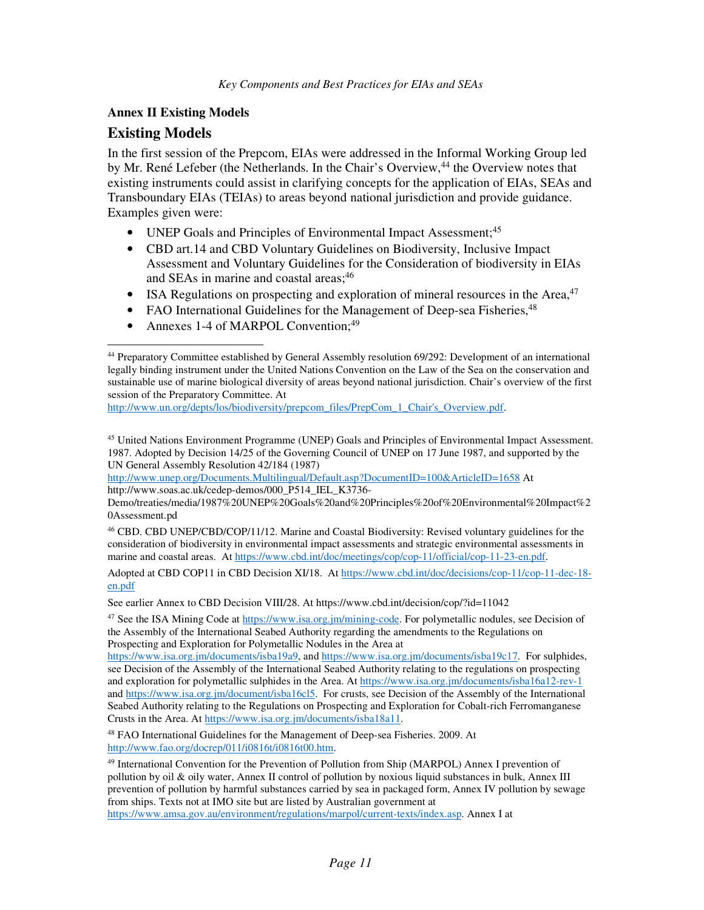# **Annex II Existing Models**

# **Existing Models**

-

In the first session of the Prepcom, EIAs were addressed in the Informal Working Group led by Mr. René Lefeber (the Netherlands. In the Chair's Overview,<sup>44</sup> the Overview notes that existing instruments could assist in clarifying concepts for the application of EIAs, SEAs and Transboundary EIAs (TEIAs) to areas beyond national jurisdiction and provide guidance. Examples given were:

- UNEP Goals and Principles of Environmental Impact Assessment;<sup>45</sup>
- CBD art.14 and CBD Voluntary Guidelines on Biodiversity, Inclusive Impact Assessment and Voluntary Guidelines for the Consideration of biodiversity in EIAs and SEAs in marine and coastal areas;<sup>46</sup>
- ISA Regulations on prospecting and exploration of mineral resources in the Area, $47$
- FAO International Guidelines for the Management of Deep-sea Fisheries, <sup>48</sup>
- Annexes 1-4 of MARPOL Convention;<sup>49</sup>

http://www.un.org/depts/los/biodiversity/prepcom\_files/PrepCom\_1\_Chair's\_Overview.pdf.

<sup>45</sup> United Nations Environment Programme (UNEP) Goals and Principles of Environmental Impact Assessment. 1987. Adopted by Decision 14/25 of the Governing Council of UNEP on 17 June 1987, and supported by the UN General Assembly Resolution 42/184 (1987)

http://www.unep.org/Documents.Multilingual/Default.asp?DocumentID=100&ArticleID=1658 At http://www.soas.ac.uk/cedep-demos/000\_P514\_IEL\_K3736-

Demo/treaties/media/1987%20UNEP%20Goals%20and%20Principles%20of%20Environmental%20Impact%2 0Assessment.pd

<sup>46</sup> CBD. CBD UNEP/CBD/COP/11/12. Marine and Coastal Biodiversity: Revised voluntary guidelines for the consideration of biodiversity in environmental impact assessments and strategic environmental assessments in marine and coastal areas. At https://www.cbd.int/doc/meetings/cop/cop-11/official/cop-11-23-en.pdf.

Adopted at CBD COP11 in CBD Decision XI/18. At https://www.cbd.int/doc/decisions/cop-11/cop-11-dec-18 en.pdf

See earlier Annex to CBD Decision VIII/28. At https://www.cbd.int/decision/cop/?id=11042

<sup>47</sup> See the ISA Mining Code at https://www.isa.org.jm/mining-code. For polymetallic nodules, see Decision of the Assembly of the International Seabed Authority regarding the amendments to the Regulations on Prospecting and Exploration for Polymetallic Nodules in the Area at

https://www.isa.org.jm/documents/isba19a9, and https://www.isa.org.jm/documents/isba19c17. For sulphides, see Decision of the Assembly of the International Seabed Authority relating to the regulations on prospecting and exploration for polymetallic sulphides in the Area. At https://www.isa.org.jm/documents/isba16a12-rev-1 and https://www.isa.org.jm/document/isba16cl5. For crusts, see Decision of the Assembly of the International Seabed Authority relating to the Regulations on Prospecting and Exploration for Cobalt-rich Ferromanganese Crusts in the Area. At https://www.isa.org.jm/documents/isba18a11.

<sup>48</sup> FAO International Guidelines for the Management of Deep-sea Fisheries. 2009. At http://www.fao.org/docrep/011/i0816t/i0816t00.htm.

<sup>49</sup> International Convention for the Prevention of Pollution from Ship (MARPOL) Annex I prevention of pollution by oil & oily water, Annex II control of pollution by noxious liquid substances in bulk, Annex III prevention of pollution by harmful substances carried by sea in packaged form, Annex IV pollution by sewage from ships. Texts not at IMO site but are listed by Australian government at

https://www.amsa.gov.au/environment/regulations/marpol/current-texts/index.asp. Annex I at

<sup>44</sup> Preparatory Committee established by General Assembly resolution 69/292: Development of an international legally binding instrument under the United Nations Convention on the Law of the Sea on the conservation and sustainable use of marine biological diversity of areas beyond national jurisdiction. Chair's overview of the first session of the Preparatory Committee. At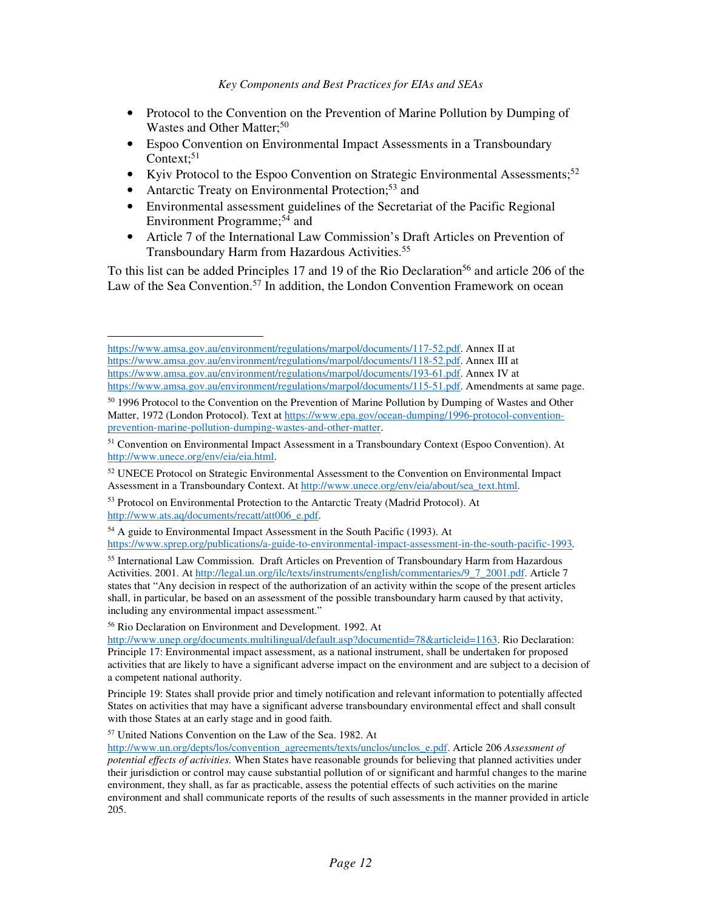- Protocol to the Convention on the Prevention of Marine Pollution by Dumping of Wastes and Other Matter;<sup>50</sup>
- Espoo Convention on Environmental Impact Assessments in a Transboundary Context; $51$
- Kyiv Protocol to the Espoo Convention on Strategic Environmental Assessments;<sup>52</sup>
- Antarctic Treaty on Environmental Protection;<sup>53</sup> and
- Environmental assessment guidelines of the Secretariat of the Pacific Regional Environment Programme;<sup>54</sup> and
- Article 7 of the International Law Commission's Draft Articles on Prevention of Transboundary Harm from Hazardous Activities.<sup>55</sup>

To this list can be added Principles 17 and 19 of the Rio Declaration<sup>56</sup> and article 206 of the Law of the Sea Convention.<sup>57</sup> In addition, the London Convention Framework on ocean

<sup>56</sup> Rio Declaration on Environment and Development. 1992. At

-

<sup>57</sup> United Nations Convention on the Law of the Sea. 1982. At

https://www.amsa.gov.au/environment/regulations/marpol/documents/117-52.pdf. Annex II at https://www.amsa.gov.au/environment/regulations/marpol/documents/118-52.pdf. Annex III at https://www.amsa.gov.au/environment/regulations/marpol/documents/193-61.pdf. Annex IV at https://www.amsa.gov.au/environment/regulations/marpol/documents/115-51.pdf. Amendments at same page.

<sup>&</sup>lt;sup>50</sup> 1996 Protocol to the Convention on the Prevention of Marine Pollution by Dumping of Wastes and Other Matter, 1972 (London Protocol). Text at https://www.epa.gov/ocean-dumping/1996-protocol-conventionprevention-marine-pollution-dumping-wastes-and-other-matter.

<sup>&</sup>lt;sup>51</sup> Convention on Environmental Impact Assessment in a Transboundary Context (Espoo Convention). At http://www.unece.org/env/eia/eia.html.

<sup>&</sup>lt;sup>52</sup> UNECE Protocol on Strategic Environmental Assessment to the Convention on Environmental Impact Assessment in a Transboundary Context. At http://www.unece.org/env/eia/about/sea\_text.html.

<sup>53</sup> Protocol on Environmental Protection to the Antarctic Treaty (Madrid Protocol). At http://www.ats.aq/documents/recatt/att006\_e.pdf.

<sup>54</sup> A guide to Environmental Impact Assessment in the South Pacific (1993). At https://www.sprep.org/publications/a-guide-to-environmental-impact-assessment-in-the-south-pacific-1993.

<sup>55</sup> International Law Commission. Draft Articles on Prevention of Transboundary Harm from Hazardous Activities. 2001. At http://legal.un.org/ilc/texts/instruments/english/commentaries/9\_7\_2001.pdf. Article 7 states that "Any decision in respect of the authorization of an activity within the scope of the present articles shall, in particular, be based on an assessment of the possible transboundary harm caused by that activity, including any environmental impact assessment."

http://www.unep.org/documents.multilingual/default.asp?documentid=78&articleid=1163. Rio Declaration: Principle 17: Environmental impact assessment, as a national instrument, shall be undertaken for proposed activities that are likely to have a significant adverse impact on the environment and are subject to a decision of a competent national authority.

Principle 19: States shall provide prior and timely notification and relevant information to potentially affected States on activities that may have a significant adverse transboundary environmental effect and shall consult with those States at an early stage and in good faith.

http://www.un.org/depts/los/convention\_agreements/texts/unclos/unclos\_e.pdf. Article 206 *Assessment of potential effects of activities.* When States have reasonable grounds for believing that planned activities under their jurisdiction or control may cause substantial pollution of or significant and harmful changes to the marine environment, they shall, as far as practicable, assess the potential effects of such activities on the marine environment and shall communicate reports of the results of such assessments in the manner provided in article 205.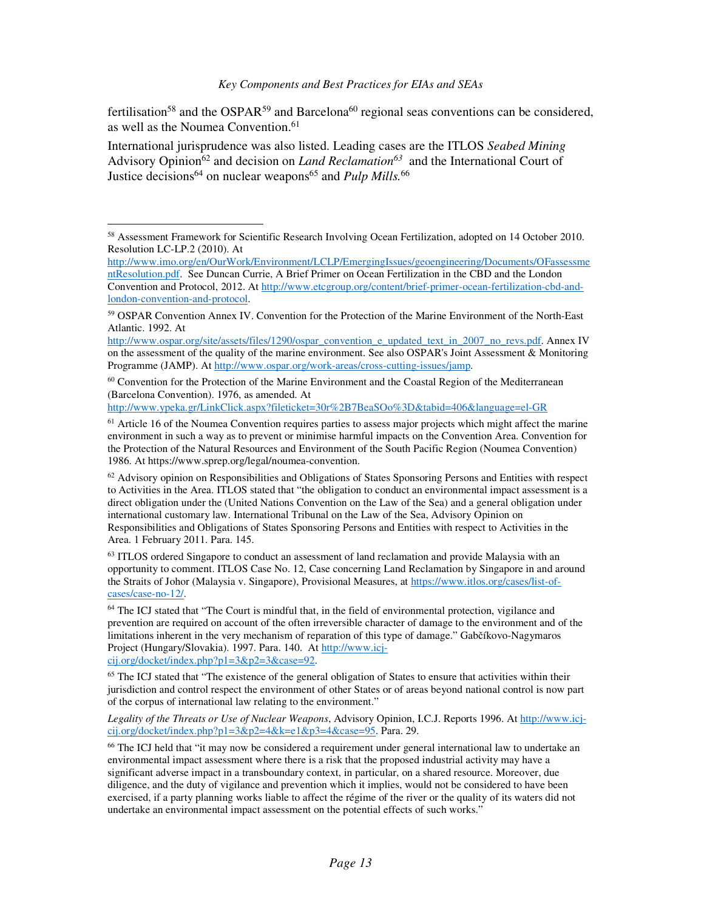fertilisation<sup>58</sup> and the OSPAR<sup>59</sup> and Barcelona<sup>60</sup> regional seas conventions can be considered, as well as the Noumea Convention.<sup>61</sup>

International jurisprudence was also listed. Leading cases are the ITLOS *Seabed Mining* Advisory Opinion<sup>62</sup> and decision on *Land Reclamation*<sup>63</sup> and the International Court of Justice decisions<sup>64</sup> on nuclear weapons<sup>65</sup> and *Pulp Mills*.<sup>66</sup>

 $60$  Convention for the Protection of the Marine Environment and the Coastal Region of the Mediterranean (Barcelona Convention). 1976, as amended. At

http://www.ypeka.gr/LinkClick.aspx?fileticket=30r%2B7BeaSOo%3D&tabid=406&language=el-GR

 $62$  Advisory opinion on Responsibilities and Obligations of States Sponsoring Persons and Entities with respect to Activities in the Area. ITLOS stated that "the obligation to conduct an environmental impact assessment is a direct obligation under the (United Nations Convention on the Law of the Sea) and a general obligation under international customary law. International Tribunal on the Law of the Sea, Advisory Opinion on Responsibilities and Obligations of States Sponsoring Persons and Entities with respect to Activities in the Area. 1 February 2011. Para. 145.

 $63$  ITLOS ordered Singapore to conduct an assessment of land reclamation and provide Malaysia with an opportunity to comment. ITLOS Case No. 12, Case concerning Land Reclamation by Singapore in and around the Straits of Johor (Malaysia v. Singapore), Provisional Measures, at https://www.itlos.org/cases/list-ofcases/case-no-12/.

<sup>64</sup> The ICJ stated that "The Court is mindful that, in the field of environmental protection, vigilance and prevention are required on account of the often irreversible character of damage to the environment and of the limitations inherent in the very mechanism of reparation of this type of damage." Gabčíkovo-Nagymaros Project (Hungary/Slovakia). 1997. Para. 140. At http://www.icj-

cij.org/docket/index.php?p1=3&p2=3&case=92.

-

<sup>65</sup> The ICJ stated that "The existence of the general obligation of States to ensure that activities within their jurisdiction and control respect the environment of other States or of areas beyond national control is now part of the corpus of international law relating to the environment."

*Legality of the Threats or Use of Nuclear Weapons*, Advisory Opinion, I.C.J. Reports 1996. At http://www.icjcij.org/docket/index.php?p1=3&p2=4&k=e1&p3=4&case=95. Para. 29.

<sup>66</sup> The ICJ held that "it may now be considered a requirement under general international law to undertake an environmental impact assessment where there is a risk that the proposed industrial activity may have a significant adverse impact in a transboundary context, in particular, on a shared resource. Moreover, due diligence, and the duty of vigilance and prevention which it implies, would not be considered to have been exercised, if a party planning works liable to affect the régime of the river or the quality of its waters did not undertake an environmental impact assessment on the potential effects of such works."

<sup>&</sup>lt;sup>58</sup> Assessment Framework for Scientific Research Involving Ocean Fertilization, adopted on 14 October 2010. Resolution LC-LP.2 (2010). At

http://www.imo.org/en/OurWork/Environment/LCLP/EmergingIssues/geoengineering/Documents/OFassessme ntResolution.pdf. See Duncan Currie, A Brief Primer on Ocean Fertilization in the CBD and the London Convention and Protocol, 2012. At http://www.etcgroup.org/content/brief-primer-ocean-fertilization-cbd-andlondon-convention-and-protocol.

<sup>&</sup>lt;sup>59</sup> OSPAR Convention Annex IV. Convention for the Protection of the Marine Environment of the North-East Atlantic. 1992. At

http://www.ospar.org/site/assets/files/1290/ospar\_convention\_e\_updated\_text\_in\_2007\_no\_revs.pdf. Annex IV on the assessment of the quality of the marine environment. See also OSPAR's Joint Assessment & Monitoring Programme (JAMP). At http://www.ospar.org/work-areas/cross-cutting-issues/jamp.

<sup>&</sup>lt;sup>61</sup> Article 16 of the Noumea Convention requires parties to assess major projects which might affect the marine environment in such a way as to prevent or minimise harmful impacts on the Convention Area. Convention for the Protection of the Natural Resources and Environment of the South Pacific Region (Noumea Convention) 1986. At https://www.sprep.org/legal/noumea-convention.